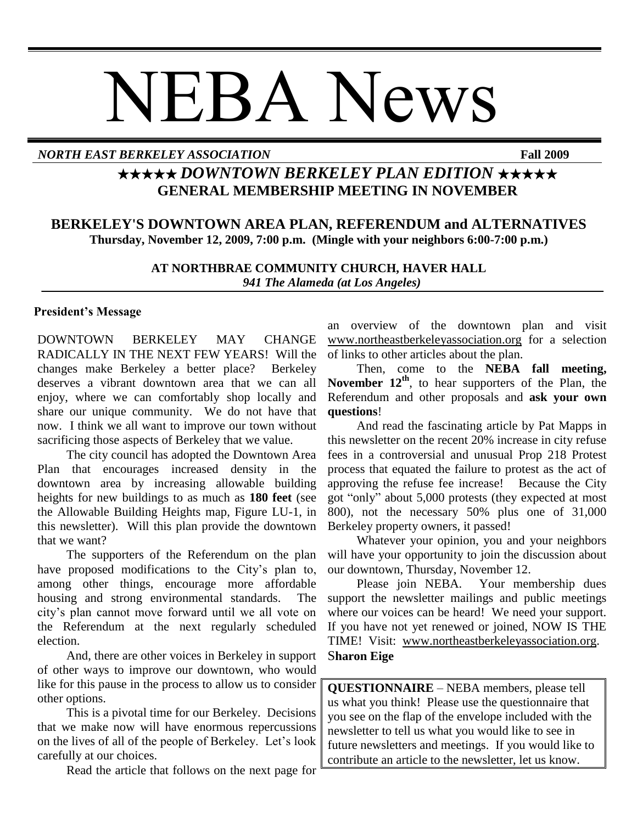# NEBA News

# *NORTH EAST BERKELEY ASSOCIATION* **Fall 2009**

# ★★★★★ *DOWNTOWN BERKELEY PLAN EDITION* ★★★★★ **GENERAL MEMBERSHIP MEETING IN NOVEMBER**

# **BERKELEY'S DOWNTOWN AREA PLAN, REFERENDUM and ALTERNATIVES Thursday, November 12, 2009, 7:00 p.m. (Mingle with your neighbors 6:00-7:00 p.m.)**

**AT NORTHBRAE COMMUNITY CHURCH, HAVER HALL**  *941 The Alameda (at Los Angeles)*

#### **President's Message**

DOWNTOWN BERKELEY MAY CHANGE RADICALLY IN THE NEXT FEW YEARS! Will the changes make Berkeley a better place? Berkeley deserves a vibrant downtown area that we can all enjoy, where we can comfortably shop locally and share our unique community. We do not have that now. I think we all want to improve our town without sacrificing those aspects of Berkeley that we value.

The city council has adopted the Downtown Area Plan that encourages increased density in the downtown area by increasing allowable building heights for new buildings to as much as **180 feet** (see the Allowable Building Heights map, Figure LU-1, in this newsletter). Will this plan provide the downtown that we want?

The supporters of the Referendum on the plan have proposed modifications to the City's plan to, among other things, encourage more affordable housing and strong environmental standards. The city's plan cannot move forward until we all vote on the Referendum at the next regularly scheduled election.

And, there are other voices in Berkeley in support of other ways to improve our downtown, who would like for this pause in the process to allow us to consider other options.

This is a pivotal time for our Berkeley. Decisions that we make now will have enormous repercussions on the lives of all of the people of Berkeley. Let's look carefully at our choices.

Read the article that follows on the next page for

an overview of the downtown plan and visit [www.northeastberkeleyassociation.org](../../../AppData/Local/Microsoft/Windows/Temporary%20Internet%20Files/AppData/Local/Microsoft/Windows/Temporary%20Internet%20Files/Content.Outlook/MB5D2GB8/www.northeastberkeleyassociation.org) for a selection of links to other articles about the plan.

Then, come to the **NEBA fall meeting, November 12th**, to hear supporters of the Plan, the Referendum and other proposals and **ask your own questions**!

And read the fascinating article by Pat Mapps in this newsletter on the recent 20% increase in city refuse fees in a controversial and unusual Prop 218 Protest process that equated the failure to protest as the act of approving the refuse fee increase! Because the City got "only" about 5,000 protests (they expected at most 800), not the necessary 50% plus one of 31,000 Berkeley property owners, it passed!

Whatever your opinion, you and your neighbors will have your opportunity to join the discussion about our downtown, Thursday, November 12.

Please join NEBA. Your membership dues support the newsletter mailings and public meetings where our voices can be heard! We need your support. If you have not yet renewed or joined, NOW IS THE TIME! Visit: [www.northeastberkeleyassociation.org.](../../../AppData/Local/Microsoft/Windows/Temporary%20Internet%20Files/AppData/Local/Microsoft/Windows/Temporary%20Internet%20Files/Content.Outlook/MB5D2GB8/www.northeastberkeleyassociation.org) S**haron Eige**

**QUESTIONNAIRE** – NEBA members, please tell us what you think! Please use the questionnaire that you see on the flap of the envelope included with the newsletter to tell us what you would like to see in future newsletters and meetings. If you would like to contribute an article to the newsletter, let us know.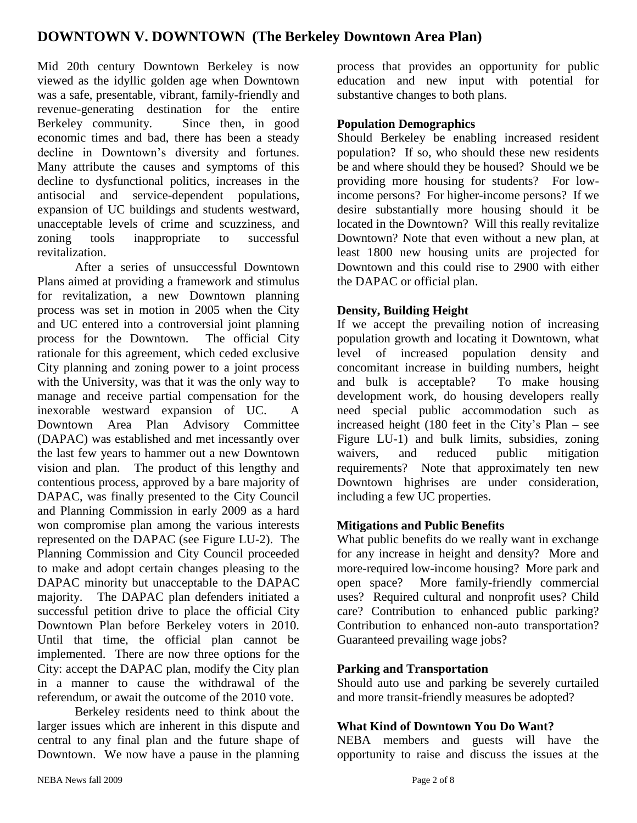# **DOWNTOWN V. DOWNTOWN (The Berkeley Downtown Area Plan)**

Mid 20th century Downtown Berkeley is now viewed as the idyllic golden age when Downtown was a safe, presentable, vibrant, family-friendly and revenue-generating destination for the entire Berkeley community. Since then, in good economic times and bad, there has been a steady decline in Downtown's diversity and fortunes. Many attribute the causes and symptoms of this decline to dysfunctional politics, increases in the antisocial and service-dependent populations, expansion of UC buildings and students westward, unacceptable levels of crime and scuzziness, and zoning tools inappropriate to successful revitalization.

After a series of unsuccessful Downtown Plans aimed at providing a framework and stimulus for revitalization, a new Downtown planning process was set in motion in 2005 when the City and UC entered into a controversial joint planning process for the Downtown. The official City rationale for this agreement, which ceded exclusive City planning and zoning power to a joint process with the University, was that it was the only way to manage and receive partial compensation for the inexorable westward expansion of UC. A Downtown Area Plan Advisory Committee (DAPAC) was established and met incessantly over the last few years to hammer out a new Downtown vision and plan. The product of this lengthy and contentious process, approved by a bare majority of DAPAC, was finally presented to the City Council and Planning Commission in early 2009 as a hard won compromise plan among the various interests represented on the DAPAC (see Figure LU-2). The Planning Commission and City Council proceeded to make and adopt certain changes pleasing to the DAPAC minority but unacceptable to the DAPAC majority. The DAPAC plan defenders initiated a successful petition drive to place the official City Downtown Plan before Berkeley voters in 2010. Until that time, the official plan cannot be implemented. There are now three options for the City: accept the DAPAC plan, modify the City plan in a manner to cause the withdrawal of the referendum, or await the outcome of the 2010 vote.

Berkeley residents need to think about the larger issues which are inherent in this dispute and central to any final plan and the future shape of Downtown. We now have a pause in the planning

process that provides an opportunity for public education and new input with potential for substantive changes to both plans.

#### **Population Demographics**

Should Berkeley be enabling increased resident population? If so, who should these new residents be and where should they be housed? Should we be providing more housing for students? For lowincome persons? For higher-income persons? If we desire substantially more housing should it be located in the Downtown? Will this really revitalize Downtown? Note that even without a new plan, at least 1800 new housing units are projected for Downtown and this could rise to 2900 with either the DAPAC or official plan.

# **Density, Building Height**

If we accept the prevailing notion of increasing population growth and locating it Downtown, what level of increased population density and concomitant increase in building numbers, height and bulk is acceptable? To make housing development work, do housing developers really need special public accommodation such as increased height (180 feet in the City's Plan – see Figure LU-1) and bulk limits, subsidies, zoning waivers, and reduced public mitigation requirements? Note that approximately ten new Downtown highrises are under consideration, including a few UC properties.

# **Mitigations and Public Benefits**

What public benefits do we really want in exchange for any increase in height and density? More and more-required low-income housing? More park and open space? More family-friendly commercial uses? Required cultural and nonprofit uses? Child care? Contribution to enhanced public parking? Contribution to enhanced non-auto transportation? Guaranteed prevailing wage jobs?

# **Parking and Transportation**

Should auto use and parking be severely curtailed and more transit-friendly measures be adopted?

# **What Kind of Downtown You Do Want?**

NEBA members and guests will have the opportunity to raise and discuss the issues at the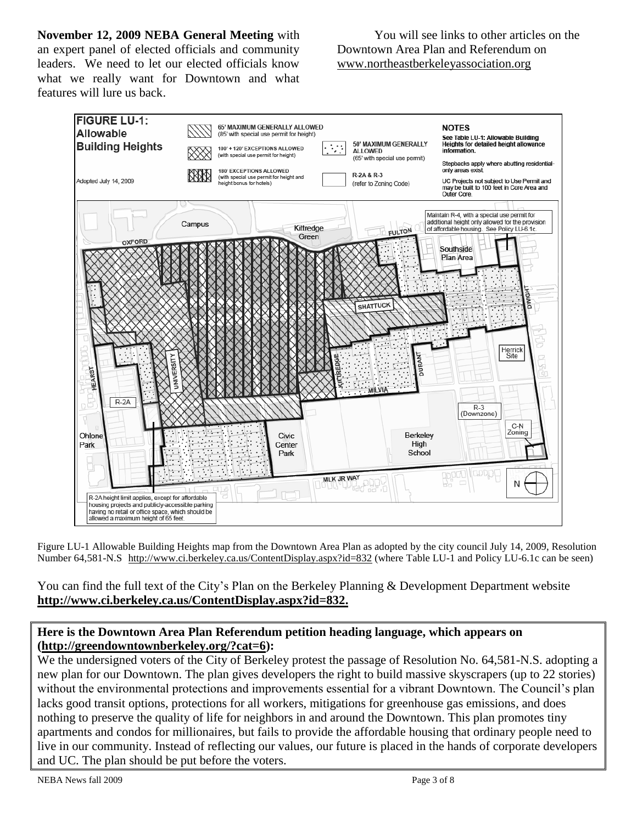**November 12, 2009 NEBA General Meeting** with an expert panel of elected officials and community leaders. We need to let our elected officials know what we really want for Downtown and what features will lure us back.

You will see links to other articles on the Downtown Area Plan and Referendum on [www.northeastberkeleyassociation.org](../../../AppData/Local/Microsoft/Windows/Temporary%20Internet%20Files/AppData/Local/Microsoft/Windows/Temporary%20Internet%20Files/Content.Outlook/MB5D2GB8/www.northeastberkeleyassociation.org)



Figure LU-1 Allowable Building Heights map from the Downtown Area Plan as adopted by the city council July 14, 2009, Resolution Number 64,581-N.S <http://www.ci.berkeley.ca.us/ContentDisplay.aspx?id=832> (where Table LU-1 and Policy LU-6.1c can be seen)

You can find the full text of the City's Plan on the Berkeley Planning & Development Department website **[http://www.ci.berkeley.ca.us/ContentDisplay.aspx?id=832.](http://www.ci.berkeley.ca.us/ContentDisplay.aspx?id=832)**

# **Here is the Downtown Area Plan Referendum petition heading language, which appears on [\(http://greendowntownberkeley.org/?cat=6\)](http://greendowntownberkeley.org/?cat=6):**

We the undersigned voters of the City of Berkeley protest the passage of Resolution No. 64,581-N.S. adopting a new plan for our Downtown. The plan gives developers the right to build massive skyscrapers (up to 22 stories) without the environmental protections and improvements essential for a vibrant Downtown. The Council's plan lacks good transit options, protections for all workers, mitigations for greenhouse gas emissions, and does nothing to preserve the quality of life for neighbors in and around the Downtown. This plan promotes tiny apartments and condos for millionaires, but fails to provide the affordable housing that ordinary people need to live in our community. Instead of reflecting our values, our future is placed in the hands of corporate developers and UC. The plan should be put before the voters.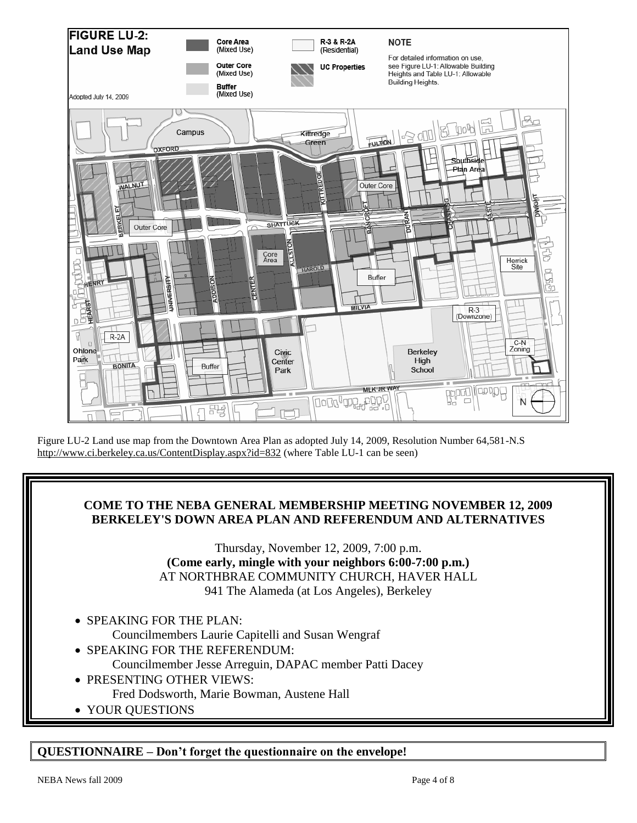

Figure LU-2 Land use map from the Downtown Area Plan as adopted July 14, 2009, Resolution Number 64,581-N.S <http://www.ci.berkeley.ca.us/ContentDisplay.aspx?id=832> (where Table LU-1 can be seen)

# **COME TO THE NEBA GENERAL MEMBERSHIP MEETING NOVEMBER 12, 2009 BERKELEY'S DOWN AREA PLAN AND REFERENDUM AND ALTERNATIVES**

Thursday, November 12, 2009, 7:00 p.m. **(Come early, mingle with your neighbors 6:00-7:00 p.m.)** AT NORTHBRAE COMMUNITY CHURCH, HAVER HALL 941 The Alameda (at Los Angeles), Berkeley

- SPEAKING FOR THE PLAN:
	- Councilmembers Laurie Capitelli and Susan Wengraf
- SPEAKING FOR THE REFERENDUM: Councilmember Jesse Arreguin, DAPAC member Patti Dacey
- PRESENTING OTHER VIEWS: Fred Dodsworth, Marie Bowman, Austene Hall
- YOUR OUESTIONS

# **QUESTIONNAIRE – Don't forget the questionnaire on the envelope!**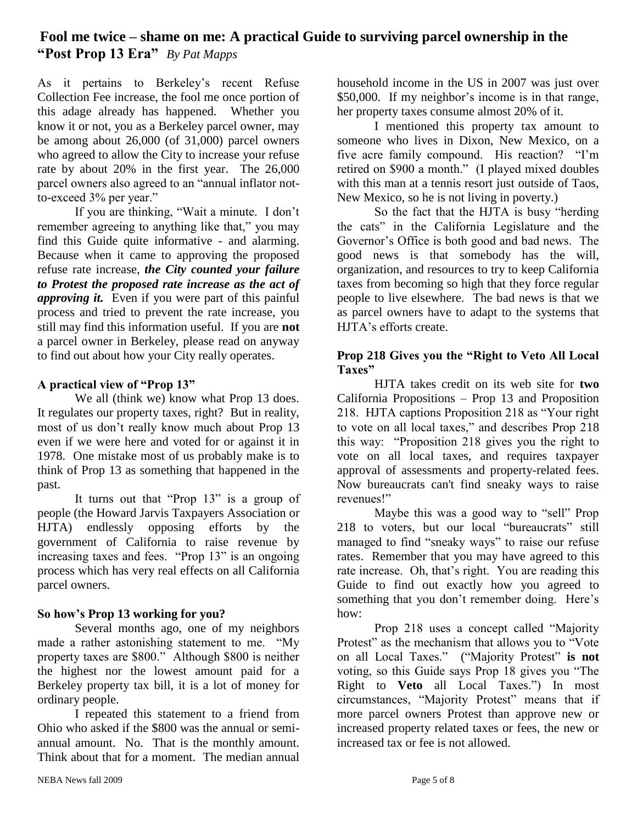# **Fool me twice – shame on me: A practical Guide to surviving parcel ownership in the "Post Prop 13 Era"** *By Pat Mapps*

As it pertains to Berkeley's recent Refuse Collection Fee increase, the fool me once portion of this adage already has happened. Whether you know it or not, you as a Berkeley parcel owner, may be among about 26,000 (of 31,000) parcel owners who agreed to allow the City to increase your refuse rate by about 20% in the first year. The 26,000 parcel owners also agreed to an "annual inflator notto-exceed 3% per year."

If you are thinking, "Wait a minute. I don't remember agreeing to anything like that," you may find this Guide quite informative - and alarming. Because when it came to approving the proposed refuse rate increase, *the City counted your failure to Protest the proposed rate increase as the act of approving it.* Even if you were part of this painful process and tried to prevent the rate increase, you still may find this information useful. If you are **not** a parcel owner in Berkeley, please read on anyway to find out about how your City really operates.

# **A practical view of "Prop 13"**

We all (think we) know what Prop 13 does. It regulates our property taxes, right? But in reality, most of us don't really know much about Prop 13 even if we were here and voted for or against it in 1978. One mistake most of us probably make is to think of Prop 13 as something that happened in the past.

It turns out that "Prop 13" is a group of people (the Howard Jarvis Taxpayers Association or HJTA) endlessly opposing efforts by the government of California to raise revenue by increasing taxes and fees. "Prop 13" is an ongoing process which has very real effects on all California parcel owners.

# **So how's Prop 13 working for you?**

Several months ago, one of my neighbors made a rather astonishing statement to me. "My property taxes are \$800." Although \$800 is neither the highest nor the lowest amount paid for a Berkeley property tax bill, it is a lot of money for ordinary people.

I repeated this statement to a friend from Ohio who asked if the \$800 was the annual or semiannual amount. No. That is the monthly amount. Think about that for a moment. The median annual

household income in the US in 2007 was just over \$50,000. If my neighbor's income is in that range, her property taxes consume almost 20% of it.

I mentioned this property tax amount to someone who lives in Dixon, New Mexico, on a five acre family compound. His reaction? "I'm retired on \$900 a month." (I played mixed doubles with this man at a tennis resort just outside of Taos, New Mexico, so he is not living in poverty.)

So the fact that the HJTA is busy "herding the cats" in the California Legislature and the Governor's Office is both good and bad news. The good news is that somebody has the will, organization, and resources to try to keep California taxes from becoming so high that they force regular people to live elsewhere. The bad news is that we as parcel owners have to adapt to the systems that HJTA's efforts create.

#### **Prop 218 Gives you the "Right to Veto All Local Taxes"**

HJTA takes credit on its web site for **two** California Propositions – Prop 13 and Proposition 218. HJTA captions Proposition 218 as "Your right to vote on all local taxes," and describes Prop 218 this way: "Proposition 218 gives you the right to vote on all local taxes, and requires taxpayer approval of assessments and property-related fees. Now bureaucrats can't find sneaky ways to raise revenues!"

Maybe this was a good way to "sell" Prop 218 to voters, but our local "bureaucrats" still managed to find "sneaky ways" to raise our refuse rates. Remember that you may have agreed to this rate increase. Oh, that's right. You are reading this Guide to find out exactly how you agreed to something that you don't remember doing. Here's how:

Prop 218 uses a concept called "Majority Protest" as the mechanism that allows you to "Vote on all Local Taxes." ("Majority Protest" **is not** voting, so this Guide says Prop 18 gives you "The Right to **Veto** all Local Taxes.") In most circumstances, "Majority Protest" means that if more parcel owners Protest than approve new or increased property related taxes or fees, the new or increased tax or fee is not allowed.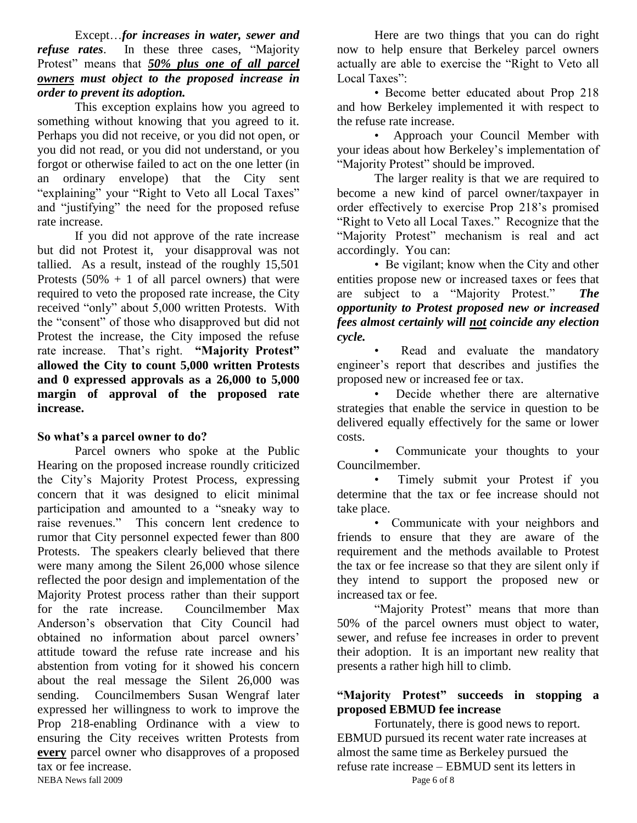Except…*for increases in water, sewer and refuse rates*. In these three cases, "Majority Protest" means that *50% plus one of all parcel owners must object to the proposed increase in order to prevent its adoption.*

This exception explains how you agreed to something without knowing that you agreed to it. Perhaps you did not receive, or you did not open, or you did not read, or you did not understand, or you forgot or otherwise failed to act on the one letter (in an ordinary envelope) that the City sent "explaining" your "Right to Veto all Local Taxes" and "justifying" the need for the proposed refuse rate increase.

If you did not approve of the rate increase but did not Protest it, your disapproval was not tallied. As a result, instead of the roughly 15,501 Protests  $(50\% + 1 \text{ of all parcel owners})$  that were required to veto the proposed rate increase, the City received "only" about 5,000 written Protests. With the "consent" of those who disapproved but did not Protest the increase, the City imposed the refuse rate increase. That's right. **"Majority Protest" allowed the City to count 5,000 written Protests and 0 expressed approvals as a 26,000 to 5,000 margin of approval of the proposed rate increase.**

#### **So what's a parcel owner to do?**

NEBA News fall 2009 Page 6 of 8 Parcel owners who spoke at the Public Hearing on the proposed increase roundly criticized the City's Majority Protest Process, expressing concern that it was designed to elicit minimal participation and amounted to a "sneaky way to raise revenues." This concern lent credence to rumor that City personnel expected fewer than 800 Protests. The speakers clearly believed that there were many among the Silent 26,000 whose silence reflected the poor design and implementation of the Majority Protest process rather than their support for the rate increase. Councilmember Max Anderson's observation that City Council had obtained no information about parcel owners' attitude toward the refuse rate increase and his abstention from voting for it showed his concern about the real message the Silent 26,000 was sending. Councilmembers Susan Wengraf later expressed her willingness to work to improve the Prop 218-enabling Ordinance with a view to ensuring the City receives written Protests from **every** parcel owner who disapproves of a proposed tax or fee increase.

Here are two things that you can do right now to help ensure that Berkeley parcel owners actually are able to exercise the "Right to Veto all Local Taxes":

• Become better educated about Prop 218 and how Berkeley implemented it with respect to the refuse rate increase.

• Approach your Council Member with your ideas about how Berkeley's implementation of "Majority Protest" should be improved.

The larger reality is that we are required to become a new kind of parcel owner/taxpayer in order effectively to exercise Prop 218's promised "Right to Veto all Local Taxes." Recognize that the "Majority Protest" mechanism is real and act accordingly. You can:

• Be vigilant; know when the City and other entities propose new or increased taxes or fees that are subject to a "Majority Protest." *The opportunity to Protest proposed new or increased fees almost certainly will not coincide any election cycle.*

Read and evaluate the mandatory engineer's report that describes and justifies the proposed new or increased fee or tax.

Decide whether there are alternative strategies that enable the service in question to be delivered equally effectively for the same or lower costs.

Communicate your thoughts to your Councilmember.

• Timely submit your Protest if you determine that the tax or fee increase should not take place.

• Communicate with your neighbors and friends to ensure that they are aware of the requirement and the methods available to Protest the tax or fee increase so that they are silent only if they intend to support the proposed new or increased tax or fee.

"Majority Protest" means that more than 50% of the parcel owners must object to water, sewer, and refuse fee increases in order to prevent their adoption. It is an important new reality that presents a rather high hill to climb.

# **"Majority Protest" succeeds in stopping a proposed EBMUD fee increase**

Fortunately, there is good news to report. EBMUD pursued its recent water rate increases at almost the same time as Berkeley pursued the refuse rate increase – EBMUD sent its letters in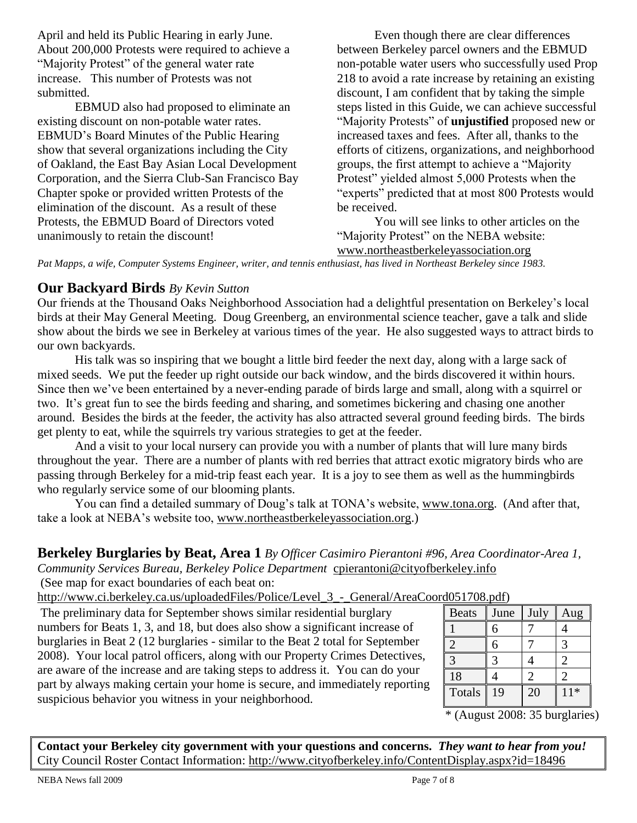April and held its Public Hearing in early June. About 200,000 Protests were required to achieve a "Majority Protest" of the general water rate increase. This number of Protests was not submitted.

EBMUD also had proposed to eliminate an existing discount on non-potable water rates. EBMUD's Board Minutes of the Public Hearing show that several organizations including the City of Oakland, the East Bay Asian Local Development Corporation, and the Sierra Club-San Francisco Bay Chapter spoke or provided written Protests of the elimination of the discount. As a result of these Protests, the EBMUD Board of Directors voted unanimously to retain the discount!

Even though there are clear differences between Berkeley parcel owners and the EBMUD non-potable water users who successfully used Prop 218 to avoid a rate increase by retaining an existing discount, I am confident that by taking the simple steps listed in this Guide, we can achieve successful "Majority Protests" of **unjustified** proposed new or increased taxes and fees. After all, thanks to the efforts of citizens, organizations, and neighborhood groups, the first attempt to achieve a "Majority Protest" yielded almost 5,000 Protests when the "experts" predicted that at most 800 Protests would be received.

You will see links to other articles on the "Majority Protest" on the NEBA website:

[www.northeastberkeleyassociation.org](../../../AppData/Local/Microsoft/Windows/Temporary%20Internet%20Files/AppData/Local/Microsoft/Windows/Temporary%20Internet%20Files/AppData/Local/Microsoft/Windows/Temporary%20Internet%20Files/Content.Outlook/MB5D2GB8/www.northeastberkeleyassociation.org)

*Pat Mapps, a wife, Computer Systems Engineer, writer, and tennis enthusiast, has lived in Northeast Berkeley since 1983.*

# **Our Backyard Birds** *By Kevin Sutton*

Our friends at the Thousand Oaks Neighborhood Association had a delightful presentation on Berkeley's local birds at their May General Meeting. Doug Greenberg, an environmental science teacher, gave a talk and slide show about the birds we see in Berkeley at various times of the year. He also suggested ways to attract birds to our own backyards.

His talk was so inspiring that we bought a little bird feeder the next day, along with a large sack of mixed seeds. We put the feeder up right outside our back window, and the birds discovered it within hours. Since then we've been entertained by a never-ending parade of birds large and small, along with a squirrel or two. It's great fun to see the birds feeding and sharing, and sometimes bickering and chasing one another around. Besides the birds at the feeder, the activity has also attracted several ground feeding birds. The birds get plenty to eat, while the squirrels try various strategies to get at the feeder.

And a visit to your local nursery can provide you with a number of plants that will lure many birds throughout the year. There are a number of plants with red berries that attract exotic migratory birds who are passing through Berkeley for a mid-trip feast each year. It is a joy to see them as well as the hummingbirds who regularly service some of our blooming plants.

You can find a detailed summary of Doug's talk at TONA's website, [www.tona.org.](http://www.tona.org/) (And after that, take a look at NEBA's website too, [www.northeastberkeleyassociation.org.](http://www.northeastberkeleyassociation.org/))

# **Berkeley Burglaries by Beat, Area 1** *By Officer Casimiro Pierantoni #96, Area Coordinator-Area 1, Community Services Bureau, Berkeley Police Department* [cpierantoni@cityofberkeley.info](mailto:cpierantoni@cityofberkeley.info)

(See map for exact boundaries of each beat on:

[http://www.ci.berkeley.ca.us/uploadedFiles/Police/Level\\_3\\_-\\_General/AreaCoord051708.pdf\)](http://www.ci.berkeley.ca.us/uploadedFiles/Police/Level_3_-_General/AreaCoord051708.pdf)

The preliminary data for September shows similar residential burglary numbers for Beats 1, 3, and 18, but does also show a significant increase of burglaries in Beat 2 (12 burglaries - similar to the Beat 2 total for September 2008). Your local patrol officers, along with our Property Crimes Detectives, are aware of the increase and are taking steps to address it. You can do your part by always making certain your home is secure, and immediately reporting suspicious behavior you witness in your neighborhood.

| 100.1100.1    |      |      |       |
|---------------|------|------|-------|
| <b>Beats</b>  | June | July | Aug   |
|               | 6    |      |       |
| 2             | 6    |      | 3     |
|               | 3    |      | 2     |
| 18            |      | 2    |       |
| <b>Totals</b> | 19   | 20   | $11*$ |
|               |      |      |       |

\* (August 2008: 35 burglaries)

**Contact your Berkeley city government with your questions and concerns.** *They want to hear from you!* City Council Roster Contact Information:<http://www.cityofberkeley.info/ContentDisplay.aspx?id=18496>